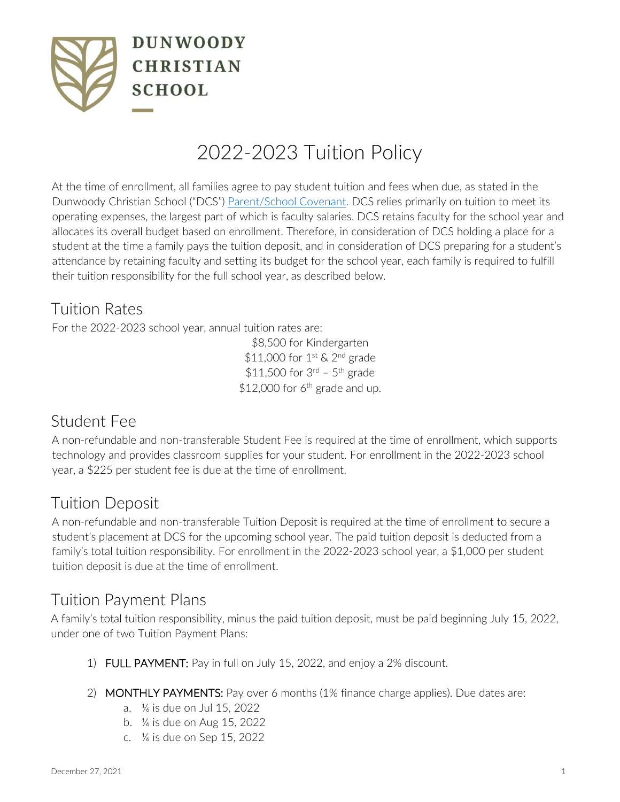

# 2022-2023 Tuition Policy

At the time of enrollment, all families agree to pay student tuition and fees when due, as stated in the Dunwoody Christian School ("DCS") [Parent/School Covenant.](https://www.dunwoodycs.org/admissions/parent-covenant.cfm) DCS relies primarily on tuition to meet its operating expenses, the largest part of which is faculty salaries. DCS retains faculty for the school year and allocates its overall budget based on enrollment. Therefore, in consideration of DCS holding a place for a student at the time a family pays the tuition deposit, and in consideration of DCS preparing for a student's attendance by retaining faculty and setting its budget for the school year, each family is required to fulfill their tuition responsibility for the full school year, as described below.

## Tuition Rates

For the 2022-2023 school year, annual tuition rates are:

\$8,500 for Kindergarten  $$11,000$  for  $1^{\text{st}}$  & 2<sup>nd</sup> grade  $$11,500$  for  $3^{rd}$  -  $5^{th}$  grade \$12,000 for  $6<sup>th</sup>$  grade and up.

## Student Fee

A non-refundable and non-transferable Student Fee is required at the time of enrollment, which supports technology and provides classroom supplies for your student. For enrollment in the 2022-2023 school year, a \$225 per student fee is due at the time of enrollment.

## Tuition Deposit

A non-refundable and non-transferable Tuition Deposit is required at the time of enrollment to secure a student's placement at DCS for the upcoming school year. The paid tuition deposit is deducted from a family's total tuition responsibility. For enrollment in the 2022-2023 school year, a \$1,000 per student tuition deposit is due at the time of enrollment.

#### Tuition Payment Plans

A family's total tuition responsibility, minus the paid tuition deposit, must be paid beginning July 15, 2022, under one of two Tuition Payment Plans:

- 1) FULL PAYMENT: Pay in full on July 15, 2022, and enjoy a 2% discount.
- 2) MONTHLY PAYMENTS: Pay over 6 months (1% finance charge applies). Due dates are:
	- a. ⅙ is due on Jul 15, 2022
	- b. ⅙ is due on Aug 15, 2022
	- c. ⅙ is due on Sep 15, 2022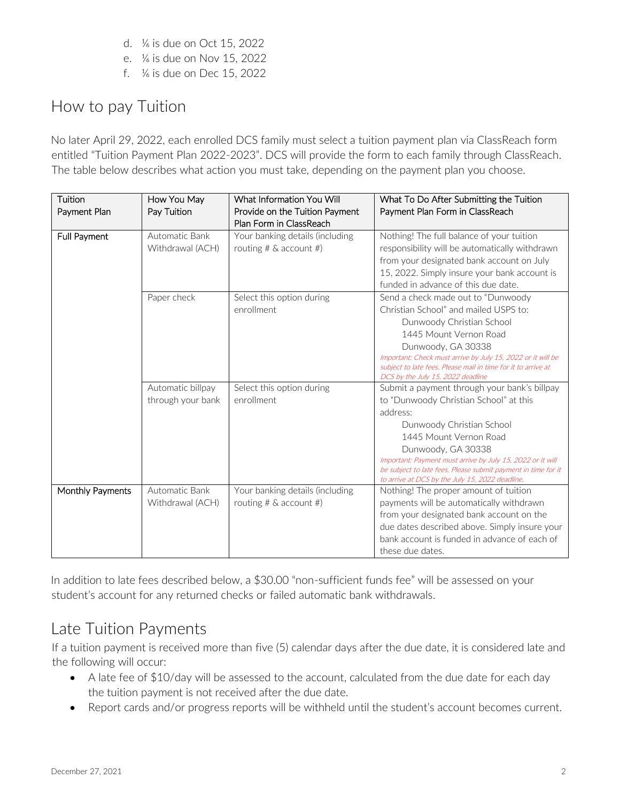- d. ⅙ is due on Oct 15, 2022
- e. ⅙ is due on Nov 15, 2022
- f. ⅙ is due on Dec 15, 2022

# How to pay Tuition

No later April 29, 2022, each enrolled DCS family must select a tuition payment plan via ClassReach form entitled "Tuition Payment Plan 2022-2023". DCS will provide the form to each family through ClassReach. The table below describes what action you must take, depending on the payment plan you choose.

| Tuition<br>Payment Plan | How You May<br>Pay Tuition             | What Information You Will<br>Provide on the Tuition Payment<br>Plan Form in ClassReach | What To Do After Submitting the Tuition<br>Payment Plan Form in ClassReach                                                                                                                                                                                                                                                                                        |
|-------------------------|----------------------------------------|----------------------------------------------------------------------------------------|-------------------------------------------------------------------------------------------------------------------------------------------------------------------------------------------------------------------------------------------------------------------------------------------------------------------------------------------------------------------|
| Full Payment            | Automatic Bank<br>Withdrawal (ACH)     | Your banking details (including<br>routing $# \&$ account $#$ )                        | Nothing! The full balance of your tuition<br>responsibility will be automatically withdrawn<br>from your designated bank account on July<br>15, 2022. Simply insure your bank account is<br>funded in advance of this due date.                                                                                                                                   |
|                         | Paper check                            | Select this option during<br>enrollment                                                | Send a check made out to "Dunwoody<br>Christian School" and mailed USPS to:<br>Dunwoody Christian School<br>1445 Mount Vernon Road<br>Dunwoody, GA 30338<br>Important: Check must arrive by July 15, 2022 or it will be<br>subject to late fees. Please mail in time for it to arrive at<br>DCS by the July 15, 2022 deadline                                     |
|                         | Automatic billpay<br>through your bank | Select this option during<br>enrollment                                                | Submit a payment through your bank's billpay<br>to "Dunwoody Christian School" at this<br>address:<br>Dunwoody Christian School<br>1445 Mount Vernon Road<br>Dunwoody, GA 30338<br>Important: Payment must arrive by July 15, 2022 or it will<br>be subject to late fees. Please submit payment in time for it<br>to arrive at DCS by the July 15, 2022 deadline. |
| Monthly Payments        | Automatic Bank<br>Withdrawal (ACH)     | Your banking details (including<br>routing $# $ & account $#$ )                        | Nothing! The proper amount of tuition<br>payments will be automatically withdrawn<br>from your designated bank account on the<br>due dates described above. Simply insure your<br>bank account is funded in advance of each of<br>these due dates.                                                                                                                |

In addition to late fees described below, a \$30.00 "non-sufficient funds fee" will be assessed on your student's account for any returned checks or failed automatic bank withdrawals.

## Late Tuition Payments

If a tuition payment is received more than five (5) calendar days after the due date, it is considered late and the following will occur:

- A late fee of \$10/day will be assessed to the account, calculated from the due date for each day the tuition payment is not received after the due date.
- Report cards and/or progress reports will be withheld until the student's account becomes current.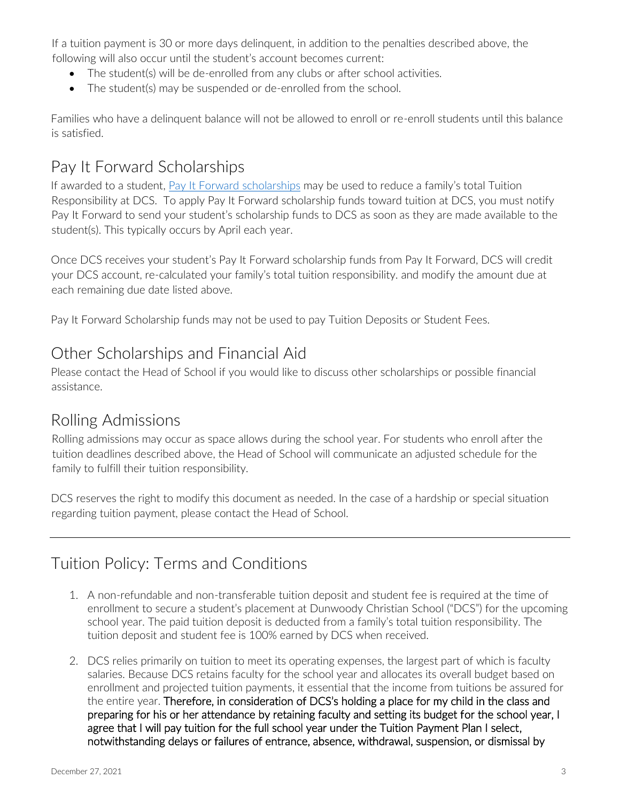If a tuition payment is 30 or more days delinquent, in addition to the penalties described above, the following will also occur until the student's account becomes current:

- The student(s) will be de-enrolled from any clubs or after school activities.
- The student(s) may be suspended or de-enrolled from the school.

Families who have a delinquent balance will not be allowed to enroll or re-enroll students until this balance is satisfied.

#### Pay It Forward Scholarships

If awarded to a student, [Pay It Forward scholarships](https://www.payitforwardscholarships.com/) may be used to reduce a family's total Tuition Responsibility at DCS. To apply Pay It Forward scholarship funds toward tuition at DCS, you must notify Pay It Forward to send your student's scholarship funds to DCS as soon as they are made available to the student(s). This typically occurs by April each year.

Once DCS receives your student's Pay It Forward scholarship funds from Pay It Forward, DCS will credit your DCS account, re-calculated your family's total tuition responsibility. and modify the amount due at each remaining due date listed above.

Pay It Forward Scholarship funds may not be used to pay Tuition Deposits or Student Fees.

#### Other Scholarships and Financial Aid

Please contact the Head of School if you would like to discuss other scholarships or possible financial assistance.

#### Rolling Admissions

Rolling admissions may occur as space allows during the school year. For students who enroll after the tuition deadlines described above, the Head of School will communicate an adjusted schedule for the family to fulfill their tuition responsibility.

DCS reserves the right to modify this document as needed. In the case of a hardship or special situation regarding tuition payment, please contact the Head of School.

## Tuition Policy: Terms and Conditions

- 1. A non-refundable and non-transferable tuition deposit and student fee is required at the time of enrollment to secure a student's placement at Dunwoody Christian School ("DCS") for the upcoming school year. The paid tuition deposit is deducted from a family's total tuition responsibility. The tuition deposit and student fee is 100% earned by DCS when received.
- 2. DCS relies primarily on tuition to meet its operating expenses, the largest part of which is faculty salaries. Because DCS retains faculty for the school year and allocates its overall budget based on enrollment and projected tuition payments, it essential that the income from tuitions be assured for the entire year. Therefore, in consideration of DCS's holding a place for my child in the class and preparing for his or her attendance by retaining faculty and setting its budget for the school year, I agree that I will pay tuition for the full school year under the Tuition Payment Plan I select, notwithstanding delays or failures of entrance, absence, withdrawal, suspension, or dismissal by